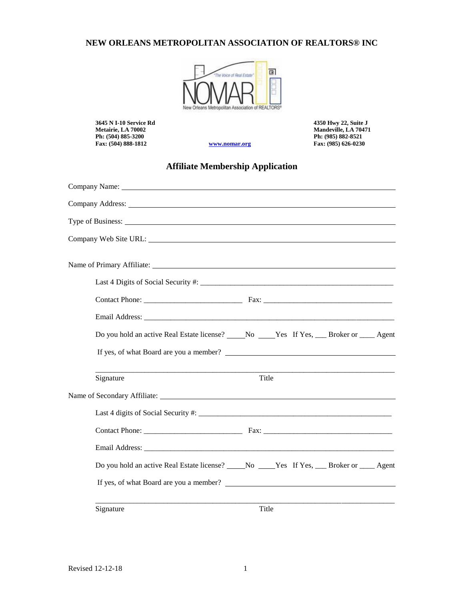## **NEW ORLEANS METROPOLITAN ASSOCIATION OF REALTORS® INC**



**3645 N I-10 Service Rd 4350 Hwy 22, Suite J Metairie, LA 70002 Mandeville, LA 70471 Ph: (504) 885-3200 Ph: (985) 882-8521** 

**Fax: (504) 888-1812 [www.nomar.org](http://www.nomar.org/) Fax: (985) 626-0230**

## **Affiliate Membership Application**

| Company Name: Name: Name: Name: Name: Name: Name: Name: Name: Name: Name: Name: Name: Name: Name: Name: Name: Name: Name: Name: Name: Name: Name: Name: Name: Name: Name: Name: Name: Name: Name: Name: Name: Name: Name: Name |       |  |  |
|--------------------------------------------------------------------------------------------------------------------------------------------------------------------------------------------------------------------------------|-------|--|--|
|                                                                                                                                                                                                                                |       |  |  |
| Type of Business: Universe of Business:                                                                                                                                                                                        |       |  |  |
|                                                                                                                                                                                                                                |       |  |  |
|                                                                                                                                                                                                                                |       |  |  |
|                                                                                                                                                                                                                                |       |  |  |
|                                                                                                                                                                                                                                |       |  |  |
|                                                                                                                                                                                                                                |       |  |  |
| Do you hold an active Real Estate license? No Yes If Yes, Broker or Agent                                                                                                                                                      |       |  |  |
|                                                                                                                                                                                                                                |       |  |  |
| Signature                                                                                                                                                                                                                      | Title |  |  |
|                                                                                                                                                                                                                                |       |  |  |
|                                                                                                                                                                                                                                |       |  |  |
|                                                                                                                                                                                                                                |       |  |  |
|                                                                                                                                                                                                                                |       |  |  |
| Do you hold an active Real Estate license? ______No _____Yes If Yes, ____Broker or _____ Agent                                                                                                                                 |       |  |  |
|                                                                                                                                                                                                                                |       |  |  |
| Signature                                                                                                                                                                                                                      | Title |  |  |